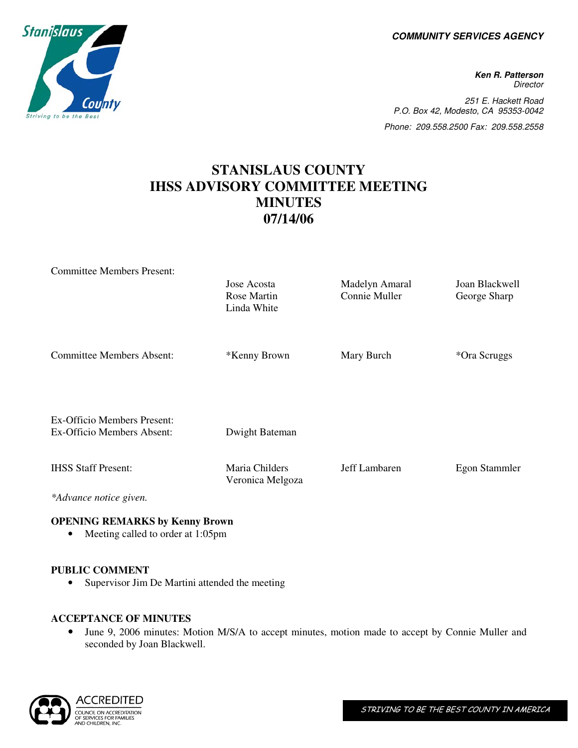**COMMUNITY SERVICES AGENCY** 

**Ken R. Patterson Director** 251 E. Hackett Road P.O. Box 42, Modesto, CA 95353-0042 Phone: 209.558.2500 Fax: 209.558.2558

# **STANISLAUS COUNTY IHSS ADVISORY COMMITTEE MEETING MINUTES 07/14/06**

| <b>Committee Members Present:</b>                         |                                           |                                 |                                |
|-----------------------------------------------------------|-------------------------------------------|---------------------------------|--------------------------------|
|                                                           | Jose Acosta<br>Rose Martin<br>Linda White | Madelyn Amaral<br>Connie Muller | Joan Blackwell<br>George Sharp |
| <b>Committee Members Absent:</b>                          | *Kenny Brown                              | Mary Burch                      | *Ora Scruggs                   |
| Ex-Officio Members Present:<br>Ex-Officio Members Absent: | Dwight Bateman                            |                                 |                                |
| <b>IHSS Staff Present:</b>                                | Maria Childers<br>Veronica Melgoza        | Jeff Lambaren                   | Egon Stammler                  |
| *Advance notice given.                                    |                                           |                                 |                                |

#### **OPENING REMARKS by Kenny Brown**

• Meeting called to order at 1:05pm

#### **PUBLIC COMMENT**

• Supervisor Jim De Martini attended the meeting

## **ACCEPTANCE OF MINUTES**

• June 9, 2006 minutes: Motion M/S/A to accept minutes, motion made to accept by Connie Muller and seconded by Joan Blackwell.



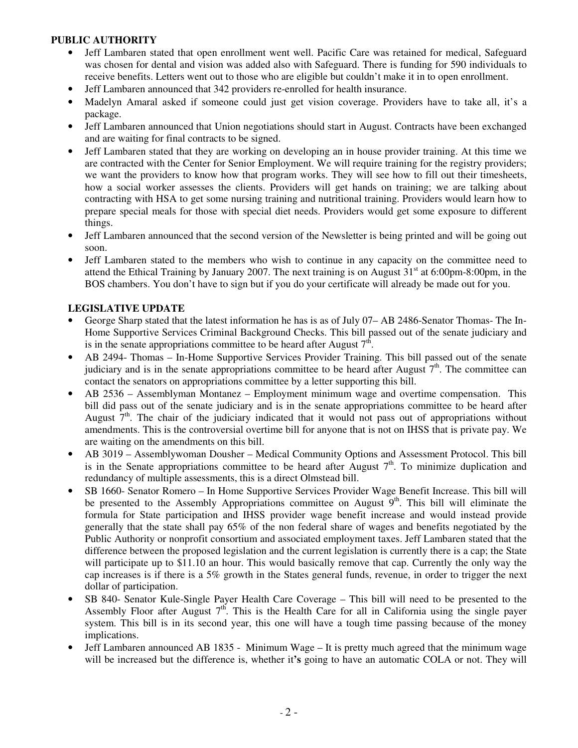#### **PUBLIC AUTHORITY**

- Jeff Lambaren stated that open enrollment went well. Pacific Care was retained for medical, Safeguard was chosen for dental and vision was added also with Safeguard. There is funding for 590 individuals to receive benefits. Letters went out to those who are eligible but couldn't make it in to open enrollment.
- Jeff Lambaren announced that 342 providers re-enrolled for health insurance.
- Madelyn Amaral asked if someone could just get vision coverage. Providers have to take all, it's a package.
- Jeff Lambaren announced that Union negotiations should start in August. Contracts have been exchanged and are waiting for final contracts to be signed.
- Jeff Lambaren stated that they are working on developing an in house provider training. At this time we are contracted with the Center for Senior Employment. We will require training for the registry providers; we want the providers to know how that program works. They will see how to fill out their timesheets, how a social worker assesses the clients. Providers will get hands on training; we are talking about contracting with HSA to get some nursing training and nutritional training. Providers would learn how to prepare special meals for those with special diet needs. Providers would get some exposure to different things.
- Jeff Lambaren announced that the second version of the Newsletter is being printed and will be going out soon.
- Jeff Lambaren stated to the members who wish to continue in any capacity on the committee need to attend the Ethical Training by January 2007. The next training is on August  $31<sup>st</sup>$  at 6:00pm-8:00pm, in the BOS chambers. You don't have to sign but if you do your certificate will already be made out for you.

#### **LEGISLATIVE UPDATE**

- George Sharp stated that the latest information he has is as of July 07– AB 2486-Senator Thomas- The In-Home Supportive Services Criminal Background Checks. This bill passed out of the senate judiciary and is in the senate appropriations committee to be heard after August  $7<sup>th</sup>$ .
- AB 2494- Thomas In-Home Supportive Services Provider Training. This bill passed out of the senate judiciary and is in the senate appropriations committee to be heard after August  $7<sup>th</sup>$ . The committee can contact the senators on appropriations committee by a letter supporting this bill.
- AB 2536 Assemblyman Montanez Employment minimum wage and overtime compensation. This bill did pass out of the senate judiciary and is in the senate appropriations committee to be heard after August  $7<sup>th</sup>$ . The chair of the judiciary indicated that it would not pass out of appropriations without amendments. This is the controversial overtime bill for anyone that is not on IHSS that is private pay. We are waiting on the amendments on this bill.
- AB 3019 Assemblywoman Dousher Medical Community Options and Assessment Protocol. This bill is in the Senate appropriations committee to be heard after August  $7<sup>th</sup>$ . To minimize duplication and redundancy of multiple assessments, this is a direct Olmstead bill.
- SB 1660- Senator Romero In Home Supportive Services Provider Wage Benefit Increase. This bill will be presented to the Assembly Appropriations committee on August  $9<sup>th</sup>$ . This bill will eliminate the formula for State participation and IHSS provider wage benefit increase and would instead provide generally that the state shall pay 65% of the non federal share of wages and benefits negotiated by the Public Authority or nonprofit consortium and associated employment taxes. Jeff Lambaren stated that the difference between the proposed legislation and the current legislation is currently there is a cap; the State will participate up to \$11.10 an hour. This would basically remove that cap. Currently the only way the cap increases is if there is a 5% growth in the States general funds, revenue, in order to trigger the next dollar of participation.
- SB 840- Senator Kule-Single Payer Health Care Coverage This bill will need to be presented to the Assembly Floor after August  $7<sup>th</sup>$ . This is the Health Care for all in California using the single payer system. This bill is in its second year, this one will have a tough time passing because of the money implications.
- Jeff Lambaren announced AB 1835 Minimum Wage It is pretty much agreed that the minimum wage will be increased but the difference is, whether it**'s** going to have an automatic COLA or not. They will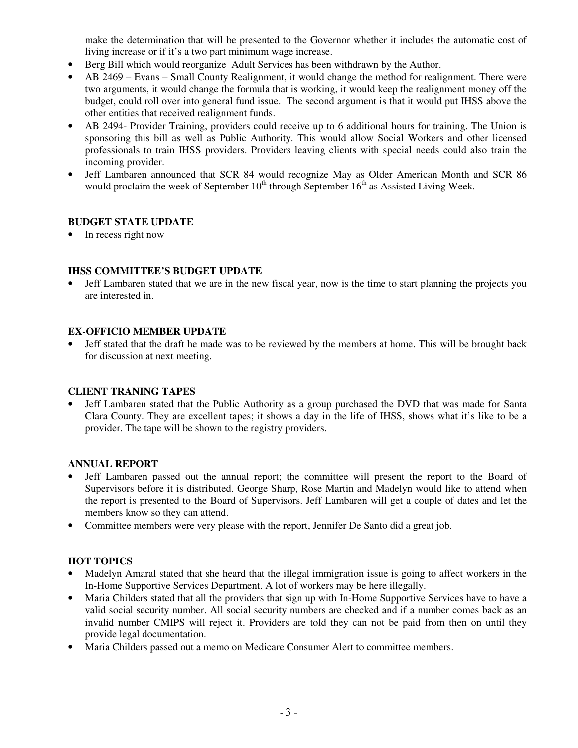make the determination that will be presented to the Governor whether it includes the automatic cost of living increase or if it's a two part minimum wage increase.

- Berg Bill which would reorganize Adult Services has been withdrawn by the Author.
- AB 2469 Evans Small County Realignment, it would change the method for realignment. There were two arguments, it would change the formula that is working, it would keep the realignment money off the budget, could roll over into general fund issue. The second argument is that it would put IHSS above the other entities that received realignment funds.
- AB 2494- Provider Training, providers could receive up to 6 additional hours for training. The Union is sponsoring this bill as well as Public Authority. This would allow Social Workers and other licensed professionals to train IHSS providers. Providers leaving clients with special needs could also train the incoming provider.
- Jeff Lambaren announced that SCR 84 would recognize May as Older American Month and SCR 86 would proclaim the week of September  $10^{th}$  through September  $16^{th}$  as Assisted Living Week.

#### **BUDGET STATE UPDATE**

• In recess right now

## **IHSS COMMITTEE'S BUDGET UPDATE**

• Jeff Lambaren stated that we are in the new fiscal year, now is the time to start planning the projects you are interested in.

#### **EX-OFFICIO MEMBER UPDATE**

• Jeff stated that the draft he made was to be reviewed by the members at home. This will be brought back for discussion at next meeting.

#### **CLIENT TRANING TAPES**

• Jeff Lambaren stated that the Public Authority as a group purchased the DVD that was made for Santa Clara County. They are excellent tapes; it shows a day in the life of IHSS, shows what it's like to be a provider. The tape will be shown to the registry providers.

#### **ANNUAL REPORT**

- Jeff Lambaren passed out the annual report; the committee will present the report to the Board of Supervisors before it is distributed. George Sharp, Rose Martin and Madelyn would like to attend when the report is presented to the Board of Supervisors. Jeff Lambaren will get a couple of dates and let the members know so they can attend.
- Committee members were very please with the report, Jennifer De Santo did a great job.

## **HOT TOPICS**

- Madelyn Amaral stated that she heard that the illegal immigration issue is going to affect workers in the In-Home Supportive Services Department. A lot of workers may be here illegally.
- Maria Childers stated that all the providers that sign up with In-Home Supportive Services have to have a valid social security number. All social security numbers are checked and if a number comes back as an invalid number CMIPS will reject it. Providers are told they can not be paid from then on until they provide legal documentation.
- Maria Childers passed out a memo on Medicare Consumer Alert to committee members.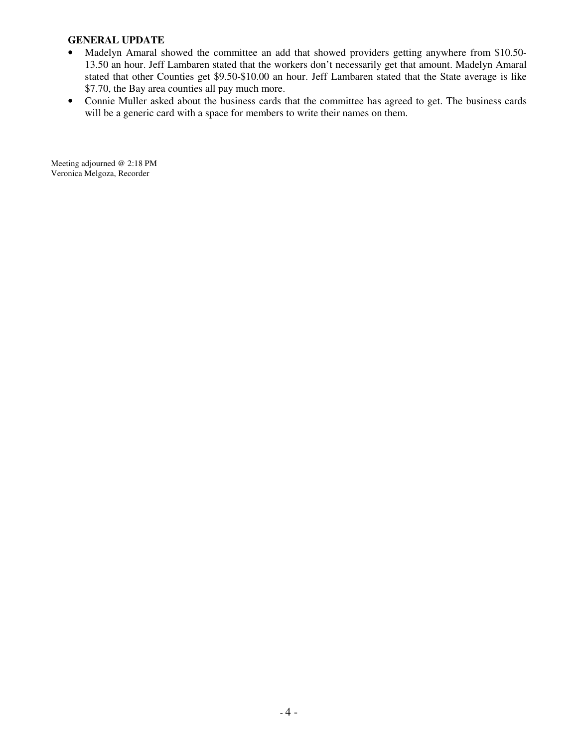#### **GENERAL UPDATE**

- Madelyn Amaral showed the committee an add that showed providers getting anywhere from \$10.50-13.50 an hour. Jeff Lambaren stated that the workers don't necessarily get that amount. Madelyn Amaral stated that other Counties get \$9.50-\$10.00 an hour. Jeff Lambaren stated that the State average is like \$7.70, the Bay area counties all pay much more.
- Connie Muller asked about the business cards that the committee has agreed to get. The business cards will be a generic card with a space for members to write their names on them.

Meeting adjourned @ 2:18 PM Veronica Melgoza, Recorder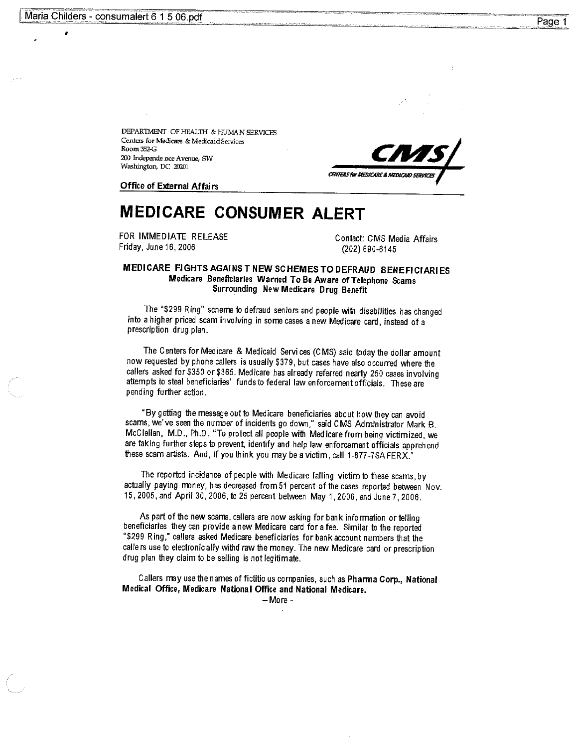DEPARTMENT OF HEALTH & HUMAN SERVICES Centers for Medicare & Medicaid Services Room 352 C 200 Independe nce Avenue, SW Washington, DC 20201



**Office of External Affairs** 

# **MEDICARE CONSUMER ALERT**

FOR IMMEDIATE RELEASE Friday, June 16, 2006

Contact: CMS Media Affairs (202) 690-6145

#### MEDICARE FIGHTS AGAINS T NEW SCHEMES TO DEFRAUD BENEFICIARIES Medicare Beneficiaries Warned To Be Aware of Telephone Scams Surrounding New Medicare Drug Benefit

The "\$299 Ring" scheme to defraud seniors and people with disabilities has changed into a higher priced scam involving in some cases a new Medicare card, instead of a prescription drug plan.

The Centers for Medicare & Medicaid Services (CMS) said today the dollar amount now requested by phone callers is usually \$379, but cases have also occurred where the callers asked for \$350 or \$365. Medicare has already referred nearly 250 cases involving attempts to steal beneficiaries' funds to federal law enforcement officials. These are pending further action.

"By getting the message out to Medicare beneficiaries about how they can avoid scams, we've seen the number of incidents go down," said CMS Administrator Mark B. McClellan, M.D., Ph.D. "To protect all people with Medicare from being victimized, we are taking further steps to prevent, identify and help law enforcement officials apprehend these scam artists. And, if you think you may be a victim, call 1-877-7SA FERX."

The reported incidence of people with Medicare falling victim to these scams, by actually paying money, has decreased from 51 percent of the cases reported between Nov. 15, 2005, and April 30, 2006, to 25 percent between May 1, 2006, and June 7, 2006.

As part of the new scams, callers are now asking for bank information or telling beneficiaries they can provide a new Medicare card for a fee. Similar to the reported "\$299 Ring," callers asked Medicare beneficiaries for bank account numbers that the callers use to electronic ally withd raw the money. The new Medicare card or prescription drug plan they claim to be selling is not legitimate.

Callers may use the names of fictitio us companies, such as Pharma Corp., National Medical Office, Medicare National Office and National Medicare.

 $-More -$